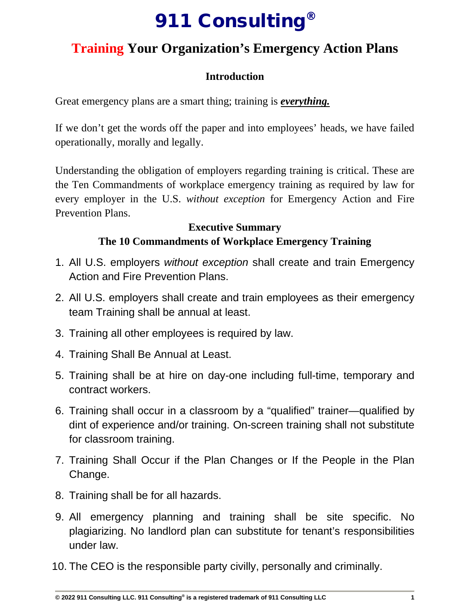# 911 Consulting®

# **Training Your Organization's Emergency Action Plans**

# **Introduction**

Great emergency plans are a smart thing; training is *everything.*

If we don't get the words off the paper and into employees' heads, we have failed operationally, morally and legally.

Understanding the obligation of employers regarding training is critical. These are the Ten Commandments of workplace emergency training as required by law for every employer in the U.S. *without exception* for Emergency Action and Fire Prevention Plans.

### **Executive Summary The 10 Commandments of Workplace Emergency Training**

- 1. All U.S. employers *without exception* shall create and train Emergency Action and Fire Prevention Plans.
- 2. All U.S. employers shall create and train employees as their emergency team Training shall be annual at least.
- 3. Training all other employees is required by law.
- 4. Training Shall Be Annual at Least.
- 5. Training shall be at hire on day-one including full-time, temporary and contract workers.
- 6. Training shall occur in a classroom by a "qualified" trainer—qualified by dint of experience and/or training. On-screen training shall not substitute for classroom training.
- 7. Training Shall Occur if the Plan Changes or If the People in the Plan Change.
- 8. Training shall be for all hazards.
- 9. All emergency planning and training shall be site specific. No plagiarizing. No landlord plan can substitute for tenant's responsibilities under law.
- 10. The CEO is the responsible party civilly, personally and criminally.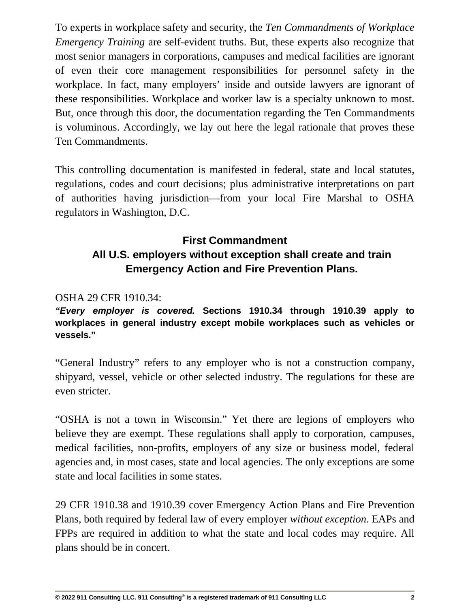To experts in workplace safety and security, the *Ten Commandments of Workplace Emergency Training* are self-evident truths. But, these experts also recognize that most senior managers in corporations, campuses and medical facilities are ignorant of even their core management responsibilities for personnel safety in the workplace. In fact, many employers' inside and outside lawyers are ignorant of these responsibilities. Workplace and worker law is a specialty unknown to most. But, once through this door, the documentation regarding the Ten Commandments is voluminous. Accordingly, we lay out here the legal rationale that proves these Ten Commandments.

This controlling documentation is manifested in federal, state and local statutes, regulations, codes and court decisions; plus administrative interpretations on part of authorities having jurisdiction—from your local Fire Marshal to OSHA regulators in Washington, D.C.

# **First Commandment All U.S. employers without exception shall create and train Emergency Action and Fire Prevention Plans.**

OSHA 29 CFR 1910.34:

*"Every employer is covered.* **Sections 1910.34 through 1910.39 apply to workplaces in general industry except mobile workplaces such as vehicles or vessels."**

"General Industry" refers to any employer who is not a construction company, shipyard, vessel, vehicle or other selected industry. The regulations for these are even stricter.

"OSHA is not a town in Wisconsin." Yet there are legions of employers who believe they are exempt. These regulations shall apply to corporation, campuses, medical facilities, non-profits, employers of any size or business model, federal agencies and, in most cases, state and local agencies. The only exceptions are some state and local facilities in some states.

29 CFR 1910.38 and 1910.39 cover Emergency Action Plans and Fire Prevention Plans, both required by federal law of every employer *without exception*. EAPs and FPPs are required in addition to what the state and local codes may require. All plans should be in concert.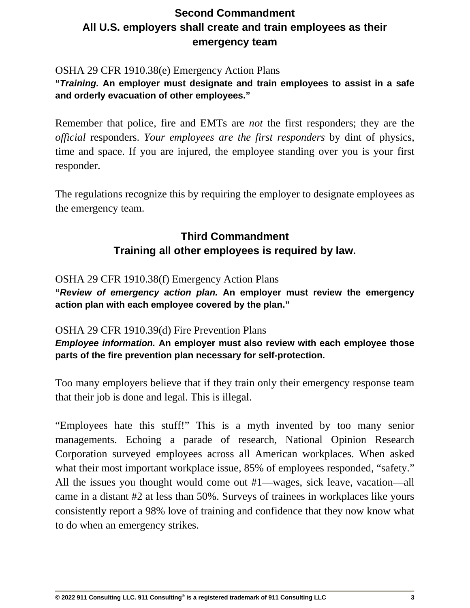# **Second Commandment All U.S. employers shall create and train employees as their emergency team**

### OSHA 29 CFR 1910.38(e) Emergency Action Plans

**"***Training.* **An employer must designate and train employees to assist in a safe and orderly evacuation of other employees."**

Remember that police, fire and EMTs are *not* the first responders; they are the *official* responders. *Your employees are the first responders* by dint of physics, time and space. If you are injured, the employee standing over you is your first responder.

The regulations recognize this by requiring the employer to designate employees as the emergency team.

# **Third Commandment Training all other employees is required by law.**

### OSHA 29 CFR 1910.38(f) Emergency Action Plans

**"***Review of emergency action plan.* **An employer must review the emergency action plan with each employee covered by the plan."**

### OSHA 29 CFR 1910.39(d) Fire Prevention Plans

*Employee information.* **An employer must also review with each employee those parts of the fire prevention plan necessary for self-protection.**

Too many employers believe that if they train only their emergency response team that their job is done and legal. This is illegal.

"Employees hate this stuff!" This is a myth invented by too many senior managements. Echoing a parade of research, National Opinion Research Corporation surveyed employees across all American workplaces. When asked what their most important workplace issue, 85% of employees responded, "safety." All the issues you thought would come out #1—wages, sick leave, vacation—all came in a distant #2 at less than 50%. Surveys of trainees in workplaces like yours consistently report a 98% love of training and confidence that they now know what to do when an emergency strikes.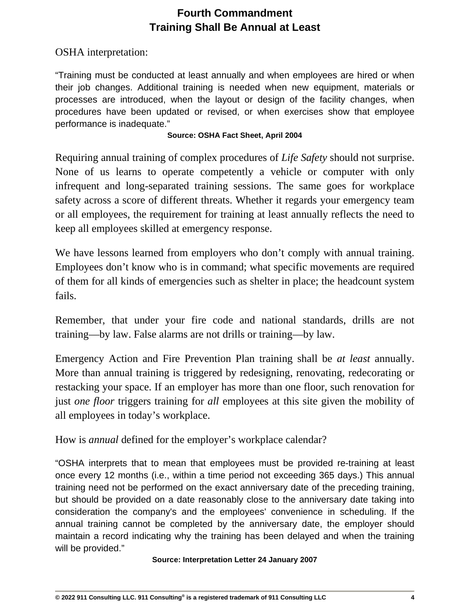# **Fourth Commandment Training Shall Be Annual at Least**

OSHA interpretation:

"Training must be conducted at least annually and when employees are hired or when their job changes. Additional training is needed when new equipment, materials or processes are introduced, when the layout or design of the facility changes, when procedures have been updated or revised, or when exercises show that employee performance is inadequate."

### **Source: OSHA Fact Sheet, April 2004**

Requiring annual training of complex procedures of *Life Safety* should not surprise. None of us learns to operate competently a vehicle or computer with only infrequent and long-separated training sessions. The same goes for workplace safety across a score of different threats. Whether it regards your emergency team or all employees, the requirement for training at least annually reflects the need to keep all employees skilled at emergency response.

We have lessons learned from employers who don't comply with annual training. Employees don't know who is in command; what specific movements are required of them for all kinds of emergencies such as shelter in place; the headcount system fails.

Remember, that under your fire code and national standards, drills are not training—by law. False alarms are not drills or training—by law.

Emergency Action and Fire Prevention Plan training shall be *at least* annually. More than annual training is triggered by redesigning, renovating, redecorating or restacking your space. If an employer has more than one floor, such renovation for just *one floor* triggers training for *all* employees at this site given the mobility of all employees in today's workplace.

How is *annual* defined for the employer's workplace calendar?

"OSHA interprets that to mean that employees must be provided re-training at least once every 12 months (i.e., within a time period not exceeding 365 days.) This annual training need not be performed on the exact anniversary date of the preceding training, but should be provided on a date reasonably close to the anniversary date taking into consideration the company's and the employees' convenience in scheduling. If the annual training cannot be completed by the anniversary date, the employer should maintain a record indicating why the training has been delayed and when the training will be provided."

### **Source: Interpretation Letter 24 January 2007**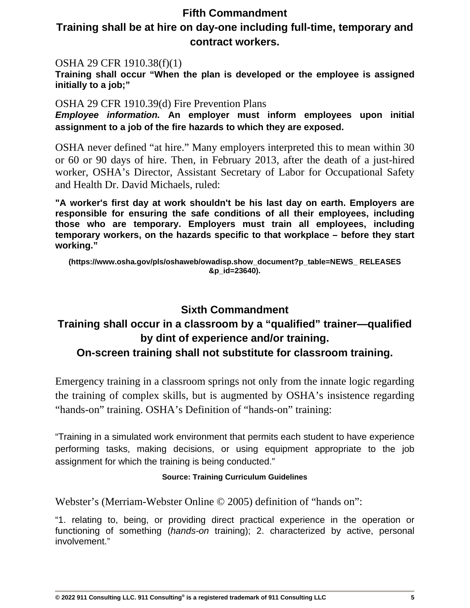### **Fifth Commandment**

### **Training shall be at hire on day-one including full-time, temporary and contract workers.**

### OSHA 29 CFR 1910.38(f)(1)

**Training shall occur "When the plan is developed or the employee is assigned initially to a job;"**

### OSHA 29 CFR 1910.39(d) Fire Prevention Plans

*Employee information.* **An employer must inform employees upon initial assignment to a job of the fire hazards to which they are exposed.** 

OSHA never defined "at hire." Many employers interpreted this to mean within 30 or 60 or 90 days of hire. Then, in February 2013, after the death of a just-hired worker, OSHA's Director, Assistant Secretary of Labor for Occupational Safety and Health Dr. David Michaels, ruled:

**"A worker's first day at work shouldn't be his last day on earth. Employers are responsible for ensuring the safe conditions of all their employees, including those who are temporary. Employers must train all employees, including temporary workers, on the hazards specific to that workplace – before they start working."**

**(https://www.osha.gov/pls/oshaweb/owadisp.show\_document?p\_table=NEWS\_ RELEASES &p\_id=23640).**

### **Sixth Commandment**

# **Training shall occur in a classroom by a "qualified" trainer—qualified by dint of experience and/or training.**

### **On-screen training shall not substitute for classroom training.**

Emergency training in a classroom springs not only from the innate logic regarding the training of complex skills, but is augmented by OSHA's insistence regarding "hands-on" training. OSHA's Definition of "hands-on" training:

"Training in a simulated work environment that permits each student to have experience performing tasks, making decisions, or using equipment appropriate to the job assignment for which the training is being conducted."

### **Source: Training Curriculum Guidelines**

Webster's (Merriam-Webster Online © 2005) definition of "hands on":

"1. relating to, being, or providing direct practical experience in the operation or functioning of something (*hands-on* training); 2. characterized by active, personal involvement."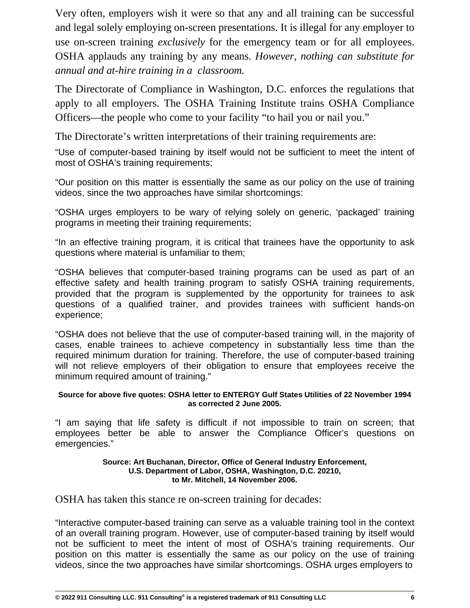Very often, employers wish it were so that any and all training can be successful and legal solely employing on-screen presentations. It is illegal for any employer to use on-screen training *exclusively* for the emergency team or for all employees. OSHA applauds any training by any means. *However, nothing can substitute for annual and at-hire training in a classroom.*

The Directorate of Compliance in Washington, D.C. enforces the regulations that apply to all employers. The OSHA Training Institute trains OSHA Compliance Officers—the people who come to your facility "to hail you or nail you."

The Directorate's written interpretations of their training requirements are:

"Use of computer-based training by itself would not be sufficient to meet the intent of most of OSHA's training requirements;

"Our position on this matter is essentially the same as our policy on the use of training videos, since the two approaches have similar shortcomings:

"OSHA urges employers to be wary of relying solely on generic, 'packaged' training programs in meeting their training requirements;

"In an effective training program, it is critical that trainees have the opportunity to ask questions where material is unfamiliar to them;

"OSHA believes that computer-based training programs can be used as part of an effective safety and health training program to satisfy OSHA training requirements, provided that the program is supplemented by the opportunity for trainees to ask questions of a qualified trainer, and provides trainees with sufficient hands-on experience;

"OSHA does not believe that the use of computer-based training will, in the majority of cases, enable trainees to achieve competency in substantially less time than the required minimum duration for training. Therefore, the use of computer-based training will not relieve employers of their obligation to ensure that employees receive the minimum required amount of training."

### **Source for above five quotes: OSHA letter to ENTERGY Gulf States Utilities of 22 November 1994 as corrected 2 June 2005.**

"I am saying that life safety is difficult if not impossible to train on screen; that employees better be able to answer the Compliance Officer's questions on emergencies."

#### **Source: Art Buchanan, Director, Office of General Industry Enforcement, U.S. Department of Labor, OSHA, Washington, D.C. 20210, to Mr. Mitchell, 14 November 2006.**

OSHA has taken this stance re on-screen training for decades:

"Interactive computer-based training can serve as a valuable training tool in the context of an overall training program. However, use of computer-based training by itself would not be sufficient to meet the intent of most of OSHA's training requirements. Our position on this matter is essentially the same as our policy on the use of training videos, since the two approaches have similar shortcomings. OSHA urges employers to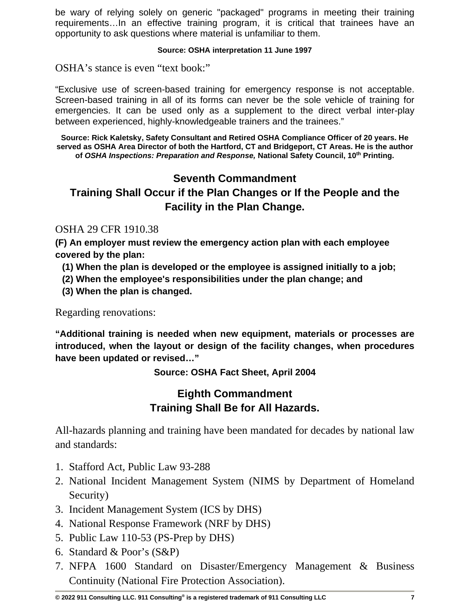be wary of relying solely on generic "packaged" programs in meeting their training requirements…In an effective training program, it is critical that trainees have an opportunity to ask questions where material is unfamiliar to them.

### **Source: OSHA interpretation 11 June 1997**

OSHA's stance is even "text book:"

"Exclusive use of screen-based training for emergency response is not acceptable. Screen-based training in all of its forms can never be the sole vehicle of training for emergencies. It can be used only as a supplement to the direct verbal inter-play between experienced, highly-knowledgeable trainers and the trainees."

**Source: Rick Kaletsky, Safety Consultant and Retired OSHA Compliance Officer of 20 years. He served as OSHA Area Director of both the Hartford, CT and Bridgeport, CT Areas. He is the author of** *OSHA Inspections: Preparation and Response,* **National Safety Council, 10th Printing.**

## **Seventh Commandment**

# **Training Shall Occur if the Plan Changes or If the People and the Facility in the Plan Change.**

### OSHA 29 CFR 1910.38

**(F) An employer must review the emergency action plan with each employee covered by the plan:**

- **(1) When the plan is developed or the employee is assigned initially to a job;**
- **(2) When the employee's responsibilities under the plan change; and**
- **(3) When the plan is changed.**

Regarding renovations:

**"Additional training is needed when new equipment, materials or processes are introduced, when the layout or design of the facility changes, when procedures have been updated or revised…"** 

**Source: OSHA Fact Sheet, April 2004**

# **Eighth Commandment Training Shall Be for All Hazards.**

All-hazards planning and training have been mandated for decades by national law and standards:

- 1. Stafford Act, Public Law 93-288
- 2. National Incident Management System (NIMS by Department of Homeland Security)
- 3. Incident Management System (ICS by DHS)
- 4. National Response Framework (NRF by DHS)
- 5. Public Law 110-53 (PS-Prep by DHS)
- 6. Standard & Poor's (S&P)
- 7. NFPA 1600 Standard on Disaster/Emergency Management & Business Continuity (National Fire Protection Association).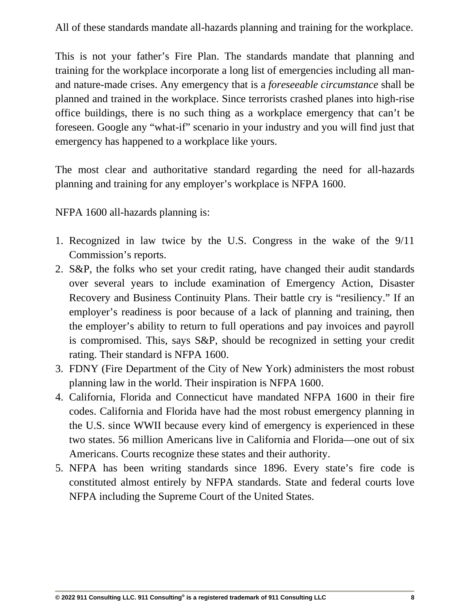All of these standards mandate all-hazards planning and training for the workplace.

This is not your father's Fire Plan. The standards mandate that planning and training for the workplace incorporate a long list of emergencies including all manand nature-made crises. Any emergency that is a *foreseeable circumstance* shall be planned and trained in the workplace. Since terrorists crashed planes into high-rise office buildings, there is no such thing as a workplace emergency that can't be foreseen. Google any "what-if" scenario in your industry and you will find just that emergency has happened to a workplace like yours.

The most clear and authoritative standard regarding the need for all-hazards planning and training for any employer's workplace is NFPA 1600.

NFPA 1600 all-hazards planning is:

- 1. Recognized in law twice by the U.S. Congress in the wake of the 9/11 Commission's reports.
- 2. S&P, the folks who set your credit rating, have changed their audit standards over several years to include examination of Emergency Action, Disaster Recovery and Business Continuity Plans. Their battle cry is "resiliency." If an employer's readiness is poor because of a lack of planning and training, then the employer's ability to return to full operations and pay invoices and payroll is compromised. This, says S&P, should be recognized in setting your credit rating. Their standard is NFPA 1600.
- 3. FDNY (Fire Department of the City of New York) administers the most robust planning law in the world. Their inspiration is NFPA 1600.
- 4. California, Florida and Connecticut have mandated NFPA 1600 in their fire codes. California and Florida have had the most robust emergency planning in the U.S. since WWII because every kind of emergency is experienced in these two states. 56 million Americans live in California and Florida—one out of six Americans. Courts recognize these states and their authority.
- 5. NFPA has been writing standards since 1896. Every state's fire code is constituted almost entirely by NFPA standards. State and federal courts love NFPA including the Supreme Court of the United States.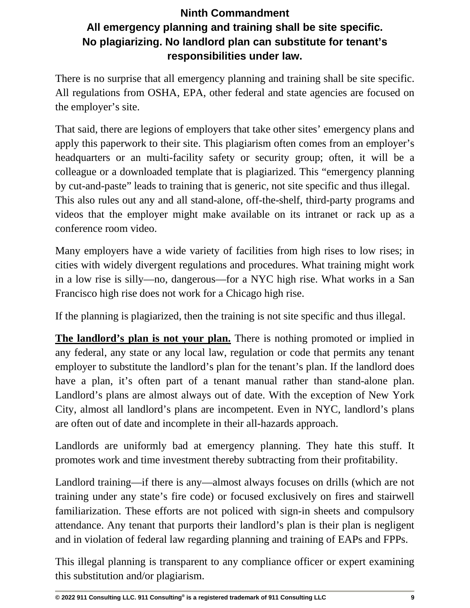# **Ninth Commandment All emergency planning and training shall be site specific. No plagiarizing. No landlord plan can substitute for tenant's responsibilities under law.**

There is no surprise that all emergency planning and training shall be site specific. All regulations from OSHA, EPA, other federal and state agencies are focused on the employer's site.

That said, there are legions of employers that take other sites' emergency plans and apply this paperwork to their site. This plagiarism often comes from an employer's headquarters or an multi-facility safety or security group; often, it will be a colleague or a downloaded template that is plagiarized. This "emergency planning by cut-and-paste" leads to training that is generic, not site specific and thus illegal. This also rules out any and all stand-alone, off-the-shelf, third-party programs and videos that the employer might make available on its intranet or rack up as a conference room video.

Many employers have a wide variety of facilities from high rises to low rises; in cities with widely divergent regulations and procedures. What training might work in a low rise is silly—no, dangerous—for a NYC high rise. What works in a San Francisco high rise does not work for a Chicago high rise.

If the planning is plagiarized, then the training is not site specific and thus illegal.

**The landlord's plan is not your plan.** There is nothing promoted or implied in any federal, any state or any local law, regulation or code that permits any tenant employer to substitute the landlord's plan for the tenant's plan. If the landlord does have a plan, it's often part of a tenant manual rather than stand-alone plan. Landlord's plans are almost always out of date. With the exception of New York City, almost all landlord's plans are incompetent. Even in NYC, landlord's plans are often out of date and incomplete in their all-hazards approach.

Landlords are uniformly bad at emergency planning. They hate this stuff. It promotes work and time investment thereby subtracting from their profitability.

Landlord training—if there is any—almost always focuses on drills (which are not training under any state's fire code) or focused exclusively on fires and stairwell familiarization. These efforts are not policed with sign-in sheets and compulsory attendance. Any tenant that purports their landlord's plan is their plan is negligent and in violation of federal law regarding planning and training of EAPs and FPPs.

This illegal planning is transparent to any compliance officer or expert examining this substitution and/or plagiarism.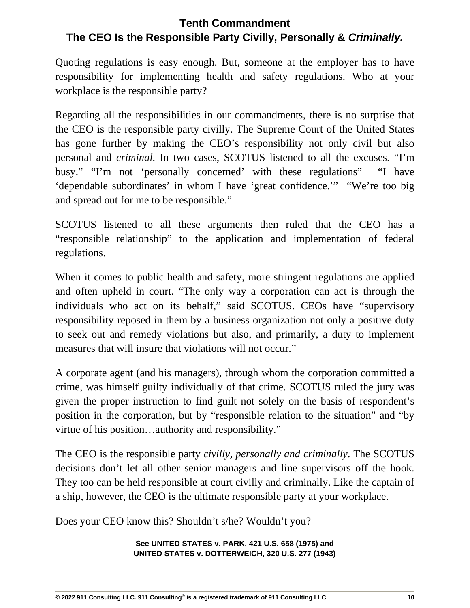# **Tenth Commandment The CEO Is the Responsible Party Civilly, Personally &** *Criminally.*

Quoting regulations is easy enough. But, someone at the employer has to have responsibility for implementing health and safety regulations. Who at your workplace is the responsible party?

Regarding all the responsibilities in our commandments, there is no surprise that the CEO is the responsible party civilly. The Supreme Court of the United States has gone further by making the CEO's responsibility not only civil but also personal and *criminal.* In two cases, SCOTUS listened to all the excuses. "I'm busy." "I'm not 'personally concerned' with these regulations" "I have 'dependable subordinates' in whom I have 'great confidence.'" "We're too big and spread out for me to be responsible."

SCOTUS listened to all these arguments then ruled that the CEO has a "responsible relationship" to the application and implementation of federal regulations.

When it comes to public health and safety, more stringent regulations are applied and often upheld in court. "The only way a corporation can act is through the individuals who act on its behalf," said SCOTUS. CEOs have "supervisory responsibility reposed in them by a business organization not only a positive duty to seek out and remedy violations but also, and primarily, a duty to implement measures that will insure that violations will not occur."

A corporate agent (and his managers), through whom the corporation committed a crime, was himself guilty individually of that crime. SCOTUS ruled the jury was given the proper instruction to find guilt not solely on the basis of respondent's position in the corporation, but by "responsible relation to the situation" and "by virtue of his position…authority and responsibility."

The CEO is the responsible party *civilly, personally and criminally*. The SCOTUS decisions don't let all other senior managers and line supervisors off the hook. They too can be held responsible at court civilly and criminally. Like the captain of a ship, however, the CEO is the ultimate responsible party at your workplace.

Does your CEO know this? Shouldn't s/he? Wouldn't you?

**See UNITED STATES v. PARK, 421 U.S. 658 (1975) and UNITED STATES v. DOTTERWEICH, 320 U.S. 277 (1943)**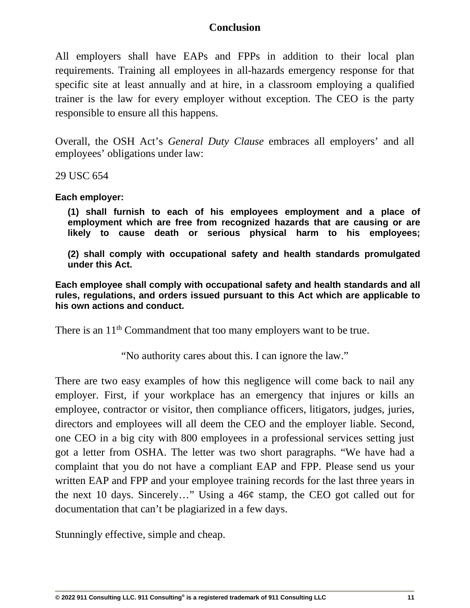### **Conclusion**

All employers shall have EAPs and FPPs in addition to their local plan requirements. Training all employees in all-hazards emergency response for that specific site at least annually and at hire, in a classroom employing a qualified trainer is the law for every employer without exception. The CEO is the party responsible to ensure all this happens.

Overall, the OSH Act's *General Duty Clause* embraces all employers' and all employees' obligations under law:

29 USC 654

**Each employer:**

**(1) shall furnish to each of his employees employment and a place of employment which are free from recognized hazards that are causing or are likely to cause death or serious physical harm to his employees;**

**(2) shall comply with occupational safety and health standards promulgated under this Act.**

**Each employee shall comply with occupational safety and health standards and all rules, regulations, and orders issued pursuant to this Act which are applicable to his own actions and conduct.**

There is an 11<sup>th</sup> Commandment that too many employers want to be true.

"No authority cares about this. I can ignore the law."

There are two easy examples of how this negligence will come back to nail any employer. First, if your workplace has an emergency that injures or kills an employee, contractor or visitor, then compliance officers, litigators, judges, juries, directors and employees will all deem the CEO and the employer liable. Second, one CEO in a big city with 800 employees in a professional services setting just got a letter from OSHA. The letter was two short paragraphs. "We have had a complaint that you do not have a compliant EAP and FPP. Please send us your written EAP and FPP and your employee training records for the last three years in the next 10 days. Sincerely…" Using a 46¢ stamp, the CEO got called out for documentation that can't be plagiarized in a few days.

Stunningly effective, simple and cheap.